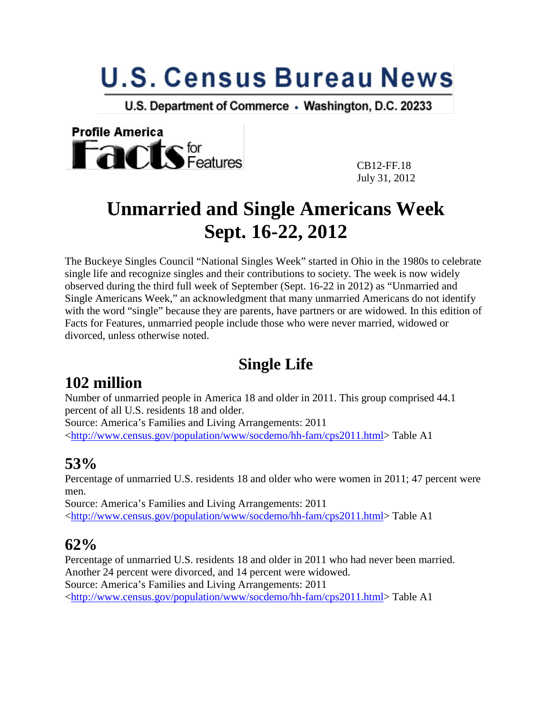# **U.S. Census Bureau News**

U.S. Department of Commerce . Washington, D.C. 20233



 CB12-FF.18 July 31, 2012

# **Unmarried and Single Americans Week Sept. 16-22, 2012**

The Buckeye Singles Council "National Singles Week" started in Ohio in the 1980s to celebrate single life and recognize singles and their contributions to society. The week is now widely observed during the third full week of September (Sept. 16-22 in 2012) as "Unmarried and Single Americans Week," an acknowledgment that many unmarried Americans do not identify with the word "single" because they are parents, have partners or are widowed. In this edition of Facts for Features, unmarried people include those who were never married, widowed or divorced, unless otherwise noted.

### **Single Life**

### **102 million**

Number of unmarried people in America 18 and older in 2011. This group comprised 44.1 percent of all U.S. residents 18 and older.

Source: America's Families and Living Arrangements: 2011 [<http://www.census.gov/population/www/socdemo/hh-fam/cps2011.html>](http://www.census.gov/population/www/socdemo/hh-fam/cps2011.html) Table A1

### **53%**

Percentage of unmarried U.S. residents 18 and older who were women in 2011; 47 percent were men.

Source: America's Families and Living Arrangements: 2011 [<http://www.census.gov/population/www/socdemo/hh-fam/cps2011.html>](http://www.census.gov/population/www/socdemo/hh-fam/cps2011.html) Table A1

#### **62%**

Percentage of unmarried U.S. residents 18 and older in 2011 who had never been married. Another 24 percent were divorced, and 14 percent were widowed. Source: America's Families and Living Arrangements: 2011 [<http://www.census.gov/population/www/socdemo/hh-fam/cps2011.html>](http://www.census.gov/population/www/socdemo/hh-fam/cps2011.html) Table A1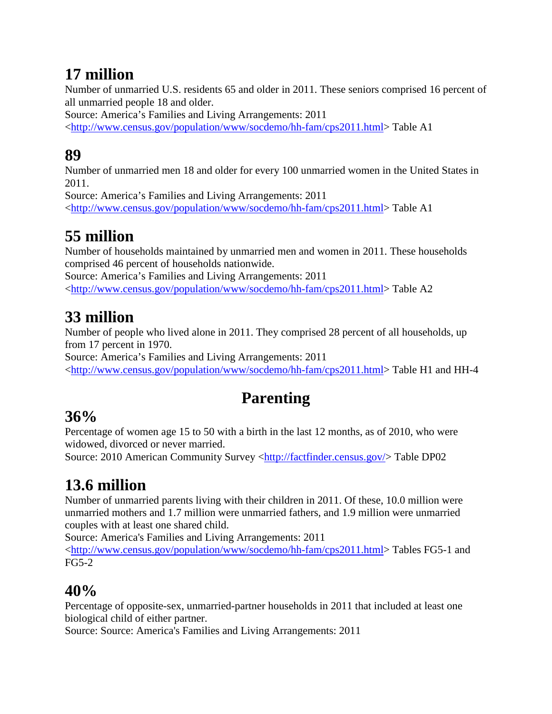# **17 million**

Number of unmarried U.S. residents 65 and older in 2011. These seniors comprised 16 percent of all unmarried people 18 and older.

Source: America's Families and Living Arrangements: 2011

[<http://www.census.gov/population/www/socdemo/hh-fam/cps2011.html>](http://www.census.gov/population/www/socdemo/hh-fam/cps2011.html) Table A1

# **89**

Number of unmarried men 18 and older for every 100 unmarried women in the United States in 2011.

Source: America's Families and Living Arrangements: 2011 [<http://www.census.gov/population/www/socdemo/hh-fam/cps2011.html>](http://www.census.gov/population/www/socdemo/hh-fam/cps2011.html) Table A1

# **55 million**

Number of households maintained by unmarried men and women in 2011. These households comprised 46 percent of households nationwide. Source: America's Families and Living Arrangements: 2011 [<http://www.census.gov/population/www/socdemo/hh-fam/cps2011.html>](http://www.census.gov/population/www/socdemo/hh-fam/cps2011.html) Table A2

# **33 million**

Number of people who lived alone in 2011. They comprised 28 percent of all households, up from 17 percent in 1970.

Source: America's Families and Living Arrangements: 2011 [<http://www.census.gov/population/www/socdemo/hh-fam/cps2011.html>](http://www.census.gov/population/www/socdemo/hh-fam/cps2011.html) Table H1 and HH-4

# **Parenting**

# **36%**

Percentage of women age 15 to 50 with a birth in the last 12 months, as of 2010, who were widowed, divorced or never married.

Source: 2010 American Community Survey [<http://factfinder.census.gov/>](http://factfinder.census.gov/) Table DP02

# **13.6 million**

Number of unmarried parents living with their children in 2011. Of these, 10.0 million were unmarried mothers and 1.7 million were unmarried fathers, and 1.9 million were unmarried couples with at least one shared child.

Source: America's Families and Living Arrangements: 2011

[<http://www.census.gov/population/www/socdemo/hh-fam/cps2011.html>](http://www.census.gov/population/www/socdemo/hh-fam/cps2011.html) Tables FG5-1 and FG5-2

# **40%**

Percentage of opposite-sex, unmarried-partner households in 2011 that included at least one biological child of either partner.

Source: Source: America's Families and Living Arrangements: 2011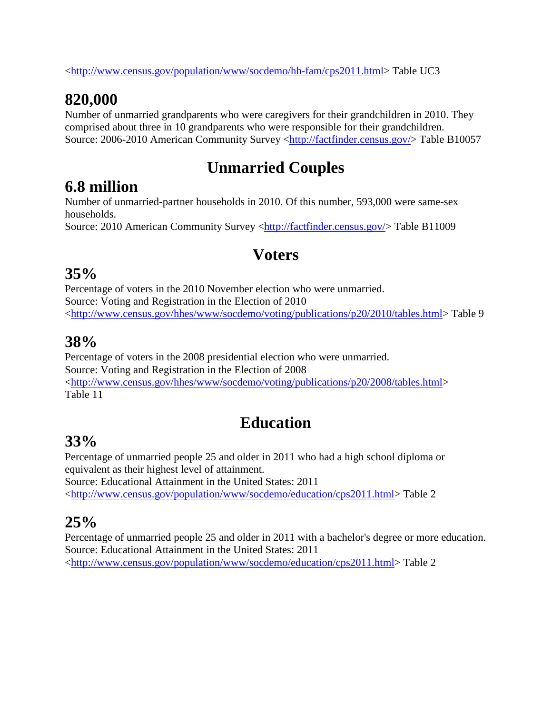[<http://www.census.gov/population/www/socdemo/hh-fam/cps2011.html>](http://www.census.gov/population/www/socdemo/hh-fam/cps2011.html) Table UC3

# **820,000**

Number of unmarried grandparents who were caregivers for their grandchildren in 2010. They comprised about three in 10 grandparents who were responsible for their grandchildren. Source: 2006-2010 American Community Survey [<http://factfinder.census.gov/>](http://factfinder.census.gov/) Table B10057

# **Unmarried Couples**

### **6.8 million**

Number of unmarried-partner households in 2010. Of this number, 593,000 were same-sex households.

Source: 2010 American Community Survey [<http://factfinder.census.gov/>](http://factfinder.census.gov/) Table B11009

### **Voters**

#### **35%**

Percentage of voters in the 2010 November election who were unmarried. Source: Voting and Registration in the Election of 2010 [<http://www.census.gov/hhes/www/socdemo/voting/publications/p20/2010/tables.html>](http://www.census.gov/hhes/www/socdemo/voting/publications/p20/2010/tables.html) Table 9

#### **38%**

Percentage of voters in the 2008 presidential election who were unmarried. Source: Voting and Registration in the Election of 2008 [<http://www.census.gov/hhes/www/socdemo/voting/publications/p20/2008/tables.html>](http://www.census.gov/hhes/www/socdemo/voting/publications/p20/2008/tables.html) Table 11

# **Education**

### **33%**

Percentage of unmarried people 25 and older in 2011 who had a high school diploma or equivalent as their highest level of attainment. Source: Educational Attainment in the United States: 2011

[<http://www.census.gov/population/www/socdemo/education/cps2011.html>](http://www.census.gov/population/www/socdemo/education/cps2011.html) Table 2

### **25%**

Percentage of unmarried people 25 and older in 2011 with a bachelor's degree or more education. Source: Educational Attainment in the United States: 2011 [<http://www.census.gov/population/www/socdemo/education/cps2011.html>](http://www.census.gov/population/www/socdemo/education/cps2011.html) Table 2